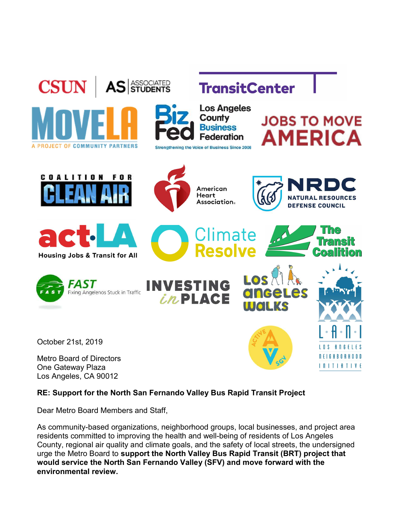



**TransitCenter** 

**Los Angeles** County **Business Federation Strengthening the Voice of Business Since 2008** 

> American Heart

Association.

Climate

Resolve

## **JOBS TO MOVE AMERICA**

**DEFENSE COUNCIL** 







October 21st, 2019

Metro Board of Directors One Gateway Plaza Los Angeles, CA 90012



OS



**RESOURCES** 

RE: Support for the North San Fernando Valley Bus Rapid Transit Project

Dear Metro Board Members and Staff,

As community-based organizations, neighborhood groups, local businesses, and project area residents committed to improving the health and well-being of residents of Los Angeles County, regional air quality and climate goals, and the safety of local streets, the undersigned urge the Metro Board to support the North Valley Bus Rapid Transit (BRT) project that would service the North San Fernando Valley (SFV) and move forward with the environmental review.

*inPLACE*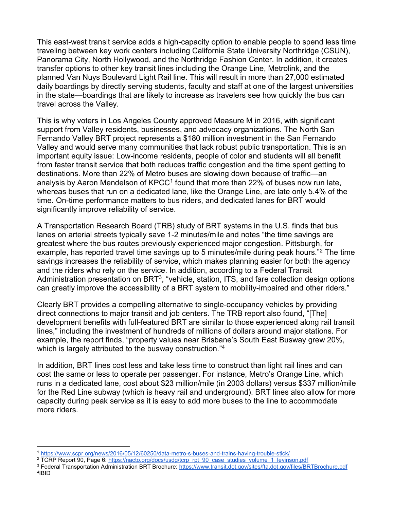This east-west transit service adds a high-capacity option to enable people to spend less time traveling between key work centers including California State University Northridge (CSUN), Panorama City, North Hollywood, and the Northridge Fashion Center. In addition, it creates transfer options to other key transit lines including the Orange Line, Metrolink, and the planned Van Nuys Boulevard Light Rail line. This will result in more than 27,000 estimated daily boardings by directly serving students, faculty and staff at one of the largest universities in the state—boardings that are likely to increase as travelers see how quickly the bus can travel across the Valley.

This is why voters in Los Angeles County approved Measure M in 2016, with significant support from Valley residents, businesses, and advocacy organizations. The North San Fernando Valley BRT project represents a \$180 million investment in the San Fernando Valley and would serve many communities that lack robust public transportation. This is an important equity issue: Low-income residents, people of color and students will all benefit from faster transit service that both reduces traffic congestion and the time spent getting to destinations. More than 22% of Metro buses are slowing down because of traffic—an analysis by Aaron Mendelson of KPCC<sup>1</sup> found that more than 22% of buses now run late, whereas buses that run on a dedicated lane, like the Orange Line, are late only 5.4% of the time. On-time performance matters to bus riders, and dedicated lanes for BRT would significantly improve reliability of service.

A Transportation Research Board (TRB) study of BRT systems in the U.S. finds that bus lanes on arterial streets typically save 1-2 minutes/mile and notes "the time savings are greatest where the bus routes previously experienced major congestion. Pittsburgh, for example, has reported travel time savings up to 5 minutes/mile during peak hours."<sup>2</sup> The time savings increases the reliability of service, which makes planning easier for both the agency and the riders who rely on the service. In addition, according to a Federal Transit Administration presentation on BRT<sup>3</sup>, "vehicle, station, ITS, and fare collection design options can greatly improve the accessibility of a BRT system to mobility-impaired and other riders."

Clearly BRT provides a compelling alternative to single-occupancy vehicles by providing direct connections to major transit and job centers. The TRB report also found, "[The] development benefits with full-featured BRT are similar to those experienced along rail transit lines," including the investment of hundreds of millions of dollars around major stations. For example, the report finds, "property values near Brisbane's South East Busway grew 20%, which is largely attributed to the busway construction."<sup>4</sup>

In addition, BRT lines cost less and take less time to construct than light rail lines and can cost the same or less to operate per passenger. For instance, Metro's Orange Line, which runs in a dedicated lane, cost about \$23 million/mile (in 2003 dollars) versus \$337 million/mile for the Red Line subway (which is heavy rail and underground). BRT lines also allow for more capacity during peak service as it is easy to add more buses to the line to accommodate more riders.

<sup>1</sup> https://www.scpr.org/news/2016/05/12/60250/data-metro-s-buses-and-trains-having-trouble-stick/

<sup>&</sup>lt;sup>2</sup> TCRP Report 90, Page 6: https://nacto.org/docs/usdg/tcrp\_rpt\_90\_case\_studies\_volume\_1\_levinson.pdf

<sup>&</sup>lt;sup>3</sup> Federal Transportation Administration BRT Brochure: https://www.transit.dot.gov/sites/fta.dot.gov/files/BRTBrochure.pdf 4 IBID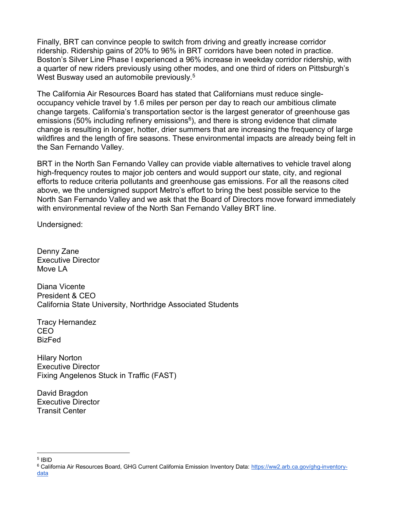Finally, BRT can convince people to switch from driving and greatly increase corridor ridership. Ridership gains of 20% to 96% in BRT corridors have been noted in practice. Boston's Silver Line Phase I experienced a 96% increase in weekday corridor ridership, with a quarter of new riders previously using other modes, and one third of riders on Pittsburgh's West Busway used an automobile previously.<sup>5</sup>

The California Air Resources Board has stated that Californians must reduce singleoccupancy vehicle travel by 1.6 miles per person per day to reach our ambitious climate change targets. California's transportation sector is the largest generator of greenhouse gas emissions (50% including refinery emissions $6$ ), and there is strong evidence that climate change is resulting in longer, hotter, drier summers that are increasing the frequency of large wildfires and the length of fire seasons. These environmental impacts are already being felt in the San Fernando Valley.

BRT in the North San Fernando Valley can provide viable alternatives to vehicle travel along high-frequency routes to major job centers and would support our state, city, and regional efforts to reduce criteria pollutants and greenhouse gas emissions. For all the reasons cited above, we the undersigned support Metro's effort to bring the best possible service to the North San Fernando Valley and we ask that the Board of Directors move forward immediately with environmental review of the North San Fernando Valley BRT line.

Undersigned:

Denny Zane Executive Director Move LA

Diana Vicente President & CEO California State University, Northridge Associated Students

Tracy Hernandez CEO BizFed

Hilary Norton Executive Director Fixing Angelenos Stuck in Traffic (FAST)

David Bragdon Executive Director Transit Center

<sup>5</sup> IBID

<sup>&</sup>lt;sup>6</sup> California Air Resources Board, GHG Current California Emission Inventory Data: <u>https://ww2.arb.ca.gov/ghg-inventory-</u> data